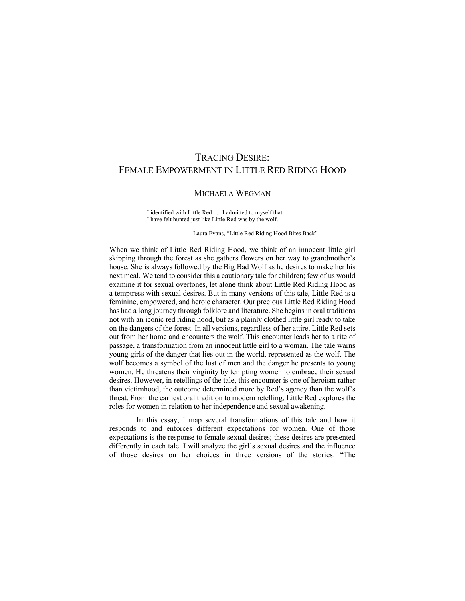# TRACING DESIRE: FEMALE EMPOWERMENT IN LITTLE RED RIDING HOOD

## MICHAELA WEGMAN

I identified with Little Red . . . I admitted to myself that I have felt hunted just like Little Red was by the wolf.

—Laura Evans, "Little Red Riding Hood Bites Back"

When we think of Little Red Riding Hood, we think of an innocent little girl skipping through the forest as she gathers flowers on her way to grandmother's house. She is always followed by the Big Bad Wolf as he desires to make her his next meal. We tend to consider this a cautionary tale for children; few of us would examine it for sexual overtones, let alone think about Little Red Riding Hood as a temptress with sexual desires. But in many versions of this tale, Little Red is a feminine, empowered, and heroic character. Our precious Little Red Riding Hood has had a long journey through folklore and literature. She begins in oral traditions not with an iconic red riding hood, but as a plainly clothed little girl ready to take on the dangers of the forest. In all versions, regardless of her attire, Little Red sets out from her home and encounters the wolf. This encounter leads her to a rite of passage, a transformation from an innocent little girl to a woman. The tale warns young girls of the danger that lies out in the world, represented as the wolf. The wolf becomes a symbol of the lust of men and the danger he presents to young women. He threatens their virginity by tempting women to embrace their sexual desires. However, in retellings of the tale, this encounter is one of heroism rather than victimhood, the outcome determined more by Red's agency than the wolf's threat. From the earliest oral tradition to modern retelling, Little Red explores the roles for women in relation to her independence and sexual awakening.

In this essay, I map several transformations of this tale and how it responds to and enforces different expectations for women. One of those expectations is the response to female sexual desires; these desires are presented differently in each tale. I will analyze the girl's sexual desires and the influence of those desires on her choices in three versions of the stories: "The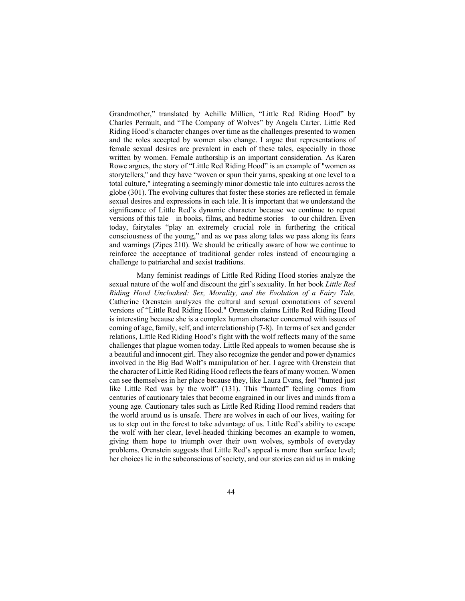Grandmother," translated by Achille Millien, "Little Red Riding Hood" by Charles Perrault, and "The Company of Wolves" by Angela Carter. Little Red Riding Hood's character changes over time as the challenges presented to women and the roles accepted by women also change. I argue that representations of female sexual desires are prevalent in each of these tales, especially in those written by women. Female authorship is an important consideration. As Karen Rowe argues, the story of "Little Red Riding Hood" is an example of "women as storytellers," and they have "woven or spun their yarns, speaking at one level to a total culture," integrating a seemingly minor domestic tale into cultures across the globe (301). The evolving cultures that foster these stories are reflected in female sexual desires and expressions in each tale. It is important that we understand the significance of Little Red's dynamic character because we continue to repeat versions of this tale—in books, films, and bedtime stories—to our children. Even today, fairytales "play an extremely crucial role in furthering the critical consciousness of the young," and as we pass along tales we pass along its fears and warnings (Zipes 210). We should be critically aware of how we continue to reinforce the acceptance of traditional gender roles instead of encouraging a challenge to patriarchal and sexist traditions.

Many feminist readings of Little Red Riding Hood stories analyze the sexual nature of the wolf and discount the girl's sexuality. In her book *Little Red Riding Hood Uncloaked: Sex, Morality, and the Evolution of a Fairy Tale,* Catherine Orenstein analyzes the cultural and sexual connotations of several versions of "Little Red Riding Hood." Orenstein claims Little Red Riding Hood is interesting because she is a complex human character concerned with issues of coming of age, family, self, and interrelationship (7-8). In terms of sex and gender relations, Little Red Riding Hood's fight with the wolf reflects many of the same challenges that plague women today. Little Red appeals to women because she is a beautiful and innocent girl. They also recognize the gender and power dynamics involved in the Big Bad Wolf's manipulation of her. I agree with Orenstein that the character of Little Red Riding Hood reflects the fears of many women. Women can see themselves in her place because they, like Laura Evans, feel "hunted just like Little Red was by the wolf" (131). This "hunted" feeling comes from centuries of cautionary tales that become engrained in our lives and minds from a young age. Cautionary tales such as Little Red Riding Hood remind readers that the world around us is unsafe. There are wolves in each of our lives, waiting for us to step out in the forest to take advantage of us. Little Red's ability to escape the wolf with her clear, level-headed thinking becomes an example to women, giving them hope to triumph over their own wolves, symbols of everyday problems. Orenstein suggests that Little Red's appeal is more than surface level; her choices lie in the subconscious of society, and our stories can aid us in making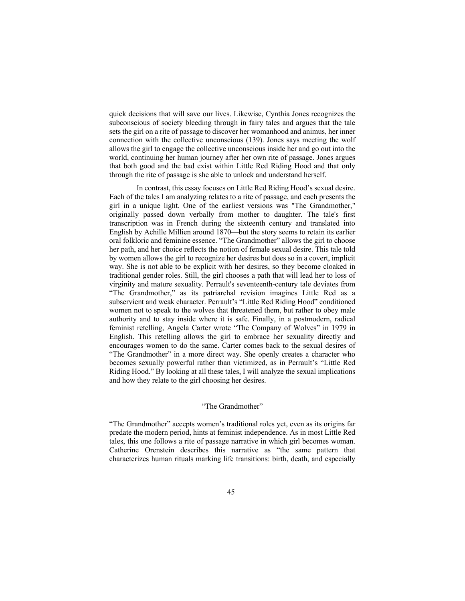quick decisions that will save our lives. Likewise, Cynthia Jones recognizes the subconscious of society bleeding through in fairy tales and argues that the tale sets the girl on a rite of passage to discover her womanhood and animus, her inner connection with the collective unconscious (139). Jones says meeting the wolf allows the girl to engage the collective unconscious inside her and go out into the world, continuing her human journey after her own rite of passage. Jones argues that both good and the bad exist within Little Red Riding Hood and that only through the rite of passage is she able to unlock and understand herself.

In contrast, this essay focuses on Little Red Riding Hood's sexual desire. Each of the tales I am analyzing relates to a rite of passage, and each presents the girl in a unique light. One of the earliest versions was "The Grandmother," originally passed down verbally from mother to daughter. The tale's first transcription was in French during the sixteenth century and translated into English by Achille Millien around 1870—but the story seems to retain its earlier oral folkloric and feminine essence. "The Grandmother" allows the girl to choose her path, and her choice reflects the notion of female sexual desire. This tale told by women allows the girl to recognize her desires but does so in a covert, implicit way. She is not able to be explicit with her desires, so they become cloaked in traditional gender roles. Still, the girl chooses a path that will lead her to loss of virginity and mature sexuality. Perrault's seventeenth-century tale deviates from "The Grandmother," as its patriarchal revision imagines Little Red as a subservient and weak character. Perrault's "Little Red Riding Hood" conditioned women not to speak to the wolves that threatened them, but rather to obey male authority and to stay inside where it is safe. Finally, in a postmodern, radical feminist retelling, Angela Carter wrote "The Company of Wolves" in 1979 in English. This retelling allows the girl to embrace her sexuality directly and encourages women to do the same. Carter comes back to the sexual desires of "The Grandmother" in a more direct way. She openly creates a character who becomes sexually powerful rather than victimized, as in Perrault's "Little Red Riding Hood." By looking at all these tales, I will analyze the sexual implications and how they relate to the girl choosing her desires.

#### "The Grandmother"

"The Grandmother" accepts women's traditional roles yet, even as its origins far predate the modern period, hints at feminist independence. As in most Little Red tales, this one follows a rite of passage narrative in which girl becomes woman. Catherine Orenstein describes this narrative as "the same pattern that characterizes human rituals marking life transitions: birth, death, and especially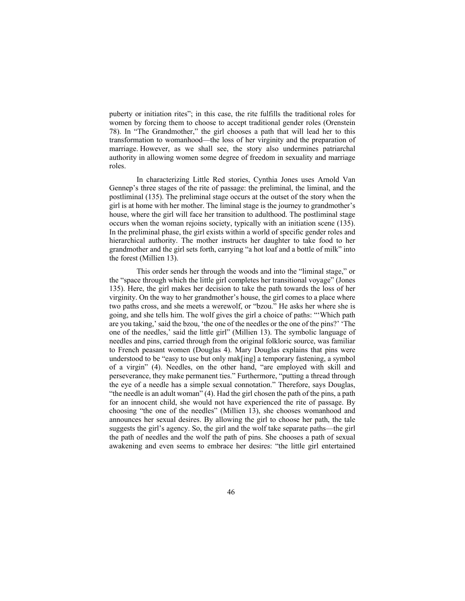puberty or initiation rites"; in this case, the rite fulfills the traditional roles for women by forcing them to choose to accept traditional gender roles (Orenstein 78). In "The Grandmother," the girl chooses a path that will lead her to this transformation to womanhood—the loss of her virginity and the preparation of marriage. However, as we shall see, the story also undermines patriarchal authority in allowing women some degree of freedom in sexuality and marriage roles.

In characterizing Little Red stories, Cynthia Jones uses Arnold Van Gennep's three stages of the rite of passage: the preliminal, the liminal, and the postliminal (135). The preliminal stage occurs at the outset of the story when the girl is at home with her mother. The liminal stage is the journey to grandmother's house, where the girl will face her transition to adulthood. The postliminal stage occurs when the woman rejoins society, typically with an initiation scene (135). In the preliminal phase, the girl exists within a world of specific gender roles and hierarchical authority. The mother instructs her daughter to take food to her grandmother and the girl sets forth, carrying "a hot loaf and a bottle of milk" into the forest (Millien 13).

This order sends her through the woods and into the "liminal stage," or the "space through which the little girl completes her transitional voyage" (Jones 135). Here, the girl makes her decision to take the path towards the loss of her virginity. On the way to her grandmother's house, the girl comes to a place where two paths cross, and she meets a werewolf, or "bzou." He asks her where she is going, and she tells him. The wolf gives the girl a choice of paths: "'Which path are you taking,' said the bzou, 'the one of the needles or the one of the pins?' 'The one of the needles,' said the little girl" (Millien 13). The symbolic language of needles and pins, carried through from the original folkloric source, was familiar to French peasant women (Douglas 4). Mary Douglas explains that pins were understood to be "easy to use but only mak[ing] a temporary fastening, a symbol of a virgin" (4). Needles, on the other hand, "are employed with skill and perseverance, they make permanent ties." Furthermore, "putting a thread through the eye of a needle has a simple sexual connotation." Therefore, says Douglas, "the needle is an adult woman" (4). Had the girl chosen the path of the pins, a path for an innocent child, she would not have experienced the rite of passage. By choosing "the one of the needles" (Millien 13), she chooses womanhood and announces her sexual desires. By allowing the girl to choose her path, the tale suggests the girl's agency. So, the girl and the wolf take separate paths—the girl the path of needles and the wolf the path of pins. She chooses a path of sexual awakening and even seems to embrace her desires: "the little girl entertained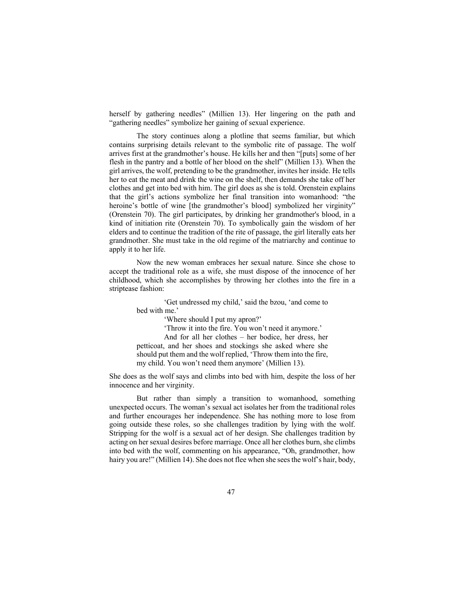herself by gathering needles" (Millien 13). Her lingering on the path and "gathering needles" symbolize her gaining of sexual experience.

The story continues along a plotline that seems familiar, but which contains surprising details relevant to the symbolic rite of passage. The wolf arrives first at the grandmother's house. He kills her and then "[puts] some of her flesh in the pantry and a bottle of her blood on the shelf" (Millien 13). When the girl arrives, the wolf, pretending to be the grandmother, invites her inside. He tells her to eat the meat and drink the wine on the shelf, then demands she take off her clothes and get into bed with him. The girl does as she is told. Orenstein explains that the girl's actions symbolize her final transition into womanhood: "the heroine's bottle of wine [the grandmother's blood] symbolized her virginity" (Orenstein 70). The girl participates, by drinking her grandmother's blood, in a kind of initiation rite (Orenstein 70). To symbolically gain the wisdom of her elders and to continue the tradition of the rite of passage, the girl literally eats her grandmother. She must take in the old regime of the matriarchy and continue to apply it to her life.

Now the new woman embraces her sexual nature. Since she chose to accept the traditional role as a wife, she must dispose of the innocence of her childhood, which she accomplishes by throwing her clothes into the fire in a striptease fashion:

> 'Get undressed my child,' said the bzou, 'and come to bed with me.'

> > 'Where should I put my apron?'

'Throw it into the fire. You won't need it anymore.'

And for all her clothes – her bodice, her dress, her petticoat, and her shoes and stockings she asked where she should put them and the wolf replied, 'Throw them into the fire, my child. You won't need them anymore' (Millien 13).

She does as the wolf says and climbs into bed with him, despite the loss of her innocence and her virginity.

But rather than simply a transition to womanhood, something unexpected occurs. The woman's sexual act isolates her from the traditional roles and further encourages her independence. She has nothing more to lose from going outside these roles, so she challenges tradition by lying with the wolf. Stripping for the wolf is a sexual act of her design. She challenges tradition by acting on her sexual desires before marriage. Once all her clothes burn, she climbs into bed with the wolf, commenting on his appearance, "Oh, grandmother, how hairy you are!" (Millien 14). She does not flee when she sees the wolf's hair, body,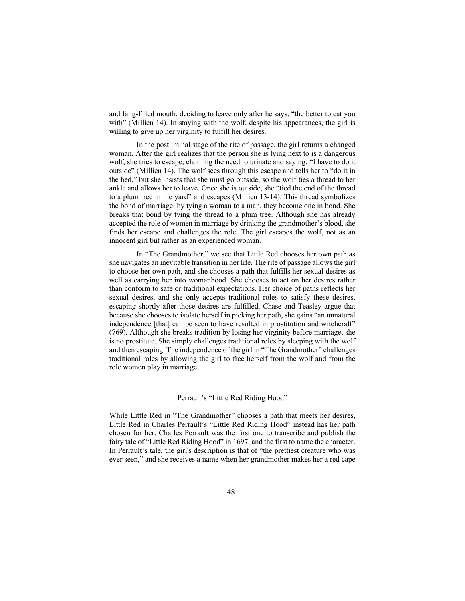and fang-filled mouth, deciding to leave only after he says, "the better to eat you with" (Millien 14). In staying with the wolf, despite his appearances, the girl is willing to give up her virginity to fulfill her desires.

In the postliminal stage of the rite of passage, the girl returns a changed woman. After the girl realizes that the person she is lying next to is a dangerous wolf, she tries to escape, claiming the need to urinate and saying: "I have to do it outside" (Millien 14). The wolf sees through this escape and tells her to "do it in the bed," but she insists that she must go outside, so the wolf ties a thread to her ankle and allows her to leave. Once she is outside, she "tied the end of the thread to a plum tree in the yard" and escapes (Millien 13-14). This thread symbolizes the bond of marriage: by tying a woman to a man, they become one in bond. She breaks that bond by tying the thread to a plum tree. Although she has already accepted the role of women in marriage by drinking the grandmother's blood, she finds her escape and challenges the role. The girl escapes the wolf, not as an innocent girl but rather as an experienced woman.

In "The Grandmother," we see that Little Red chooses her own path as she navigates an inevitable transition in her life. The rite of passage allows the girl to choose her own path, and she chooses a path that fulfills her sexual desires as well as carrying her into womanhood. She chooses to act on her desires rather than conform to safe or traditional expectations. Her choice of paths reflects her sexual desires, and she only accepts traditional roles to satisfy these desires, escaping shortly after those desires are fulfilled. Chase and Teasley argue that because she chooses to isolate herself in picking her path, she gains "an unnatural independence [that] can be seen to have resulted in prostitution and witchcraft" (769). Although she breaks tradition by losing her virginity before marriage, she is no prostitute. She simply challenges traditional roles by sleeping with the wolf and then escaping. The independence of the girl in "The Grandmother" challenges traditional roles by allowing the girl to free herself from the wolf and from the role women play in marriage.

#### Perrault's "Little Red Riding Hood"

While Little Red in "The Grandmother" chooses a path that meets her desires, Little Red in Charles Perrault's "Little Red Riding Hood" instead has her path chosen for her. Charles Perrault was the first one to transcribe and publish the fairy tale of "Little Red Riding Hood" in 1697, and the first to name the character. In Perrault's tale, the girl's description is that of "the prettiest creature who was ever seen," and she receives a name when her grandmother makes her a red cape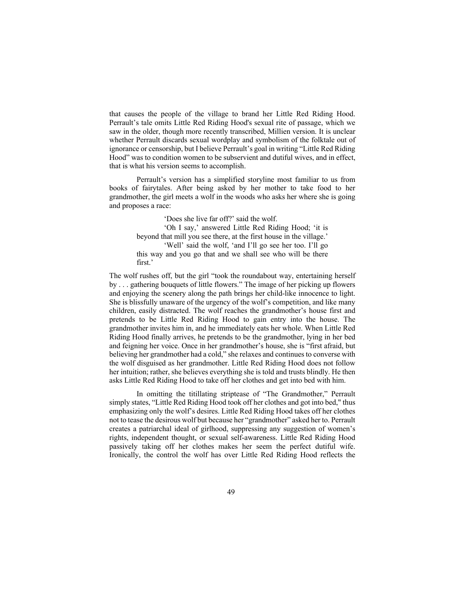that causes the people of the village to brand her Little Red Riding Hood. Perrault's tale omits Little Red Riding Hood's sexual rite of passage, which we saw in the older, though more recently transcribed, Millien version. It is unclear whether Perrault discards sexual wordplay and symbolism of the folktale out of ignorance or censorship, but I believe Perrault's goal in writing "Little Red Riding Hood" was to condition women to be subservient and dutiful wives, and in effect, that is what his version seems to accomplish.

Perrault's version has a simplified storyline most familiar to us from books of fairytales. After being asked by her mother to take food to her grandmother, the girl meets a wolf in the woods who asks her where she is going and proposes a race:

> 'Does she live far off?' said the wolf. 'Oh I say,' answered Little Red Riding Hood; 'it is beyond that mill you see there, at the first house in the village.' 'Well' said the wolf, 'and I'll go see her too. I'll go this way and you go that and we shall see who will be there first.'

The wolf rushes off, but the girl "took the roundabout way, entertaining herself by . . . gathering bouquets of little flowers." The image of her picking up flowers and enjoying the scenery along the path brings her child-like innocence to light. She is blissfully unaware of the urgency of the wolf's competition, and like many children, easily distracted. The wolf reaches the grandmother's house first and pretends to be Little Red Riding Hood to gain entry into the house. The grandmother invites him in, and he immediately eats her whole. When Little Red Riding Hood finally arrives, he pretends to be the grandmother, lying in her bed and feigning her voice. Once in her grandmother's house, she is "first afraid, but believing her grandmother had a cold," she relaxes and continues to converse with the wolf disguised as her grandmother. Little Red Riding Hood does not follow her intuition; rather, she believes everything she is told and trusts blindly. He then asks Little Red Riding Hood to take off her clothes and get into bed with him.

In omitting the titillating striptease of "The Grandmother," Perrault simply states, "Little Red Riding Hood took off her clothes and got into bed," thus emphasizing only the wolf's desires. Little Red Riding Hood takes off her clothes not to tease the desirous wolf but because her "grandmother" asked her to. Perrault creates a patriarchal ideal of girlhood, suppressing any suggestion of women's rights, independent thought, or sexual self-awareness. Little Red Riding Hood passively taking off her clothes makes her seem the perfect dutiful wife. Ironically, the control the wolf has over Little Red Riding Hood reflects the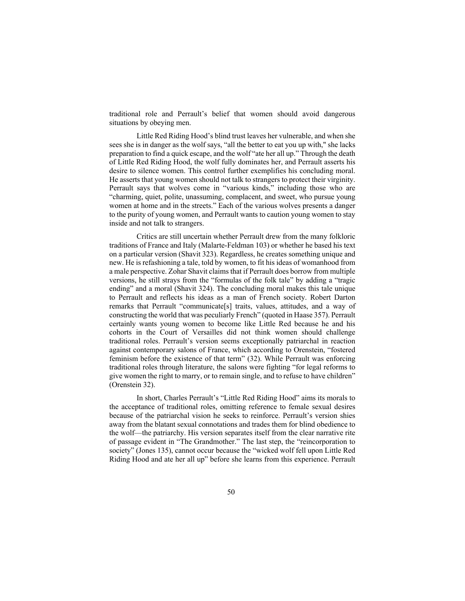traditional role and Perrault's belief that women should avoid dangerous situations by obeying men.

Little Red Riding Hood's blind trust leaves her vulnerable, and when she sees she is in danger as the wolf says, "all the better to eat you up with," she lacks preparation to find a quick escape, and the wolf "ate her all up." Through the death of Little Red Riding Hood, the wolf fully dominates her, and Perrault asserts his desire to silence women. This control further exemplifies his concluding moral. He asserts that young women should not talk to strangers to protect their virginity. Perrault says that wolves come in "various kinds," including those who are "charming, quiet, polite, unassuming, complacent, and sweet, who pursue young women at home and in the streets." Each of the various wolves presents a danger to the purity of young women, and Perrault wants to caution young women to stay inside and not talk to strangers.

Critics are still uncertain whether Perrault drew from the many folkloric traditions of France and Italy (Malarte-Feldman 103) or whether he based his text on a particular version (Shavit 323). Regardless, he creates something unique and new. He is refashioning a tale, told by women, to fit his ideas of womanhood from a male perspective. Zohar Shavit claims that if Perrault does borrow from multiple versions, he still strays from the "formulas of the folk tale" by adding a "tragic ending" and a moral (Shavit 324). The concluding moral makes this tale unique to Perrault and reflects his ideas as a man of French society. Robert Darton remarks that Perrault "communicate[s] traits, values, attitudes, and a way of constructing the world that was peculiarly French" (quoted in Haase 357). Perrault certainly wants young women to become like Little Red because he and his cohorts in the Court of Versailles did not think women should challenge traditional roles. Perrault's version seems exceptionally patriarchal in reaction against contemporary salons of France, which according to Orenstein, "fostered feminism before the existence of that term" (32). While Perrault was enforcing traditional roles through literature, the salons were fighting "for legal reforms to give women the right to marry, or to remain single, and to refuse to have children" (Orenstein 32).

In short, Charles Perrault's "Little Red Riding Hood" aims its morals to the acceptance of traditional roles, omitting reference to female sexual desires because of the patriarchal vision he seeks to reinforce. Perrault's version shies away from the blatant sexual connotations and trades them for blind obedience to the wolf—the patriarchy. His version separates itself from the clear narrative rite of passage evident in "The Grandmother." The last step, the "reincorporation to society" (Jones 135), cannot occur because the "wicked wolf fell upon Little Red Riding Hood and ate her all up" before she learns from this experience. Perrault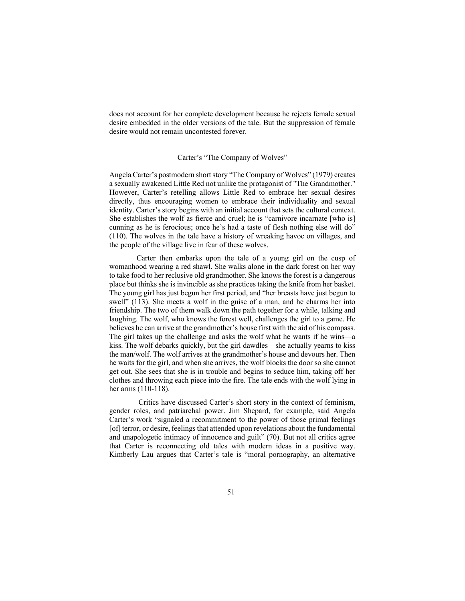does not account for her complete development because he rejects female sexual desire embedded in the older versions of the tale. But the suppression of female desire would not remain uncontested forever.

#### Carter's "The Company of Wolves"

Angela Carter's postmodern short story "The Company of Wolves" (1979) creates a sexually awakened Little Red not unlike the protagonist of "The Grandmother." However, Carter's retelling allows Little Red to embrace her sexual desires directly, thus encouraging women to embrace their individuality and sexual identity. Carter's story begins with an initial account that sets the cultural context. She establishes the wolf as fierce and cruel; he is "carnivore incarnate [who is] cunning as he is ferocious; once he's had a taste of flesh nothing else will do" (110). The wolves in the tale have a history of wreaking havoc on villages, and the people of the village live in fear of these wolves.

Carter then embarks upon the tale of a young girl on the cusp of womanhood wearing a red shawl. She walks alone in the dark forest on her way to take food to her reclusive old grandmother. She knows the forest is a dangerous place but thinks she is invincible as she practices taking the knife from her basket. The young girl has just begun her first period, and "her breasts have just begun to swell" (113). She meets a wolf in the guise of a man, and he charms her into friendship. The two of them walk down the path together for a while, talking and laughing. The wolf, who knows the forest well, challenges the girl to a game. He believes he can arrive at the grandmother's house first with the aid of his compass. The girl takes up the challenge and asks the wolf what he wants if he wins—a kiss. The wolf debarks quickly, but the girl dawdles—she actually yearns to kiss the man/wolf. The wolf arrives at the grandmother's house and devours her. Then he waits for the girl, and when she arrives, the wolf blocks the door so she cannot get out. She sees that she is in trouble and begins to seduce him, taking off her clothes and throwing each piece into the fire. The tale ends with the wolf lying in her arms (110-118).

Critics have discussed Carter's short story in the context of feminism, gender roles, and patriarchal power. Jim Shepard, for example, said Angela Carter's work "signaled a recommitment to the power of those primal feelings [of] terror, or desire, feelings that attended upon revelations about the fundamental and unapologetic intimacy of innocence and guilt" (70). But not all critics agree that Carter is reconnecting old tales with modern ideas in a positive way. Kimberly Lau argues that Carter's tale is "moral pornography, an alternative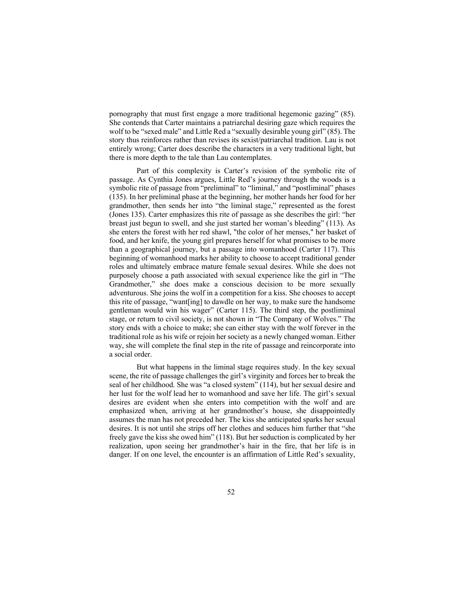pornography that must first engage a more traditional hegemonic gazing" (85). She contends that Carter maintains a patriarchal desiring gaze which requires the wolf to be "sexed male" and Little Red a "sexually desirable young girl" (85). The story thus reinforces rather than revises its sexist/patriarchal tradition. Lau is not entirely wrong; Carter does describe the characters in a very traditional light, but there is more depth to the tale than Lau contemplates.

Part of this complexity is Carter's revision of the symbolic rite of passage. As Cynthia Jones argues, Little Red's journey through the woods is a symbolic rite of passage from "preliminal" to "liminal," and "postliminal" phases (135). In her preliminal phase at the beginning, her mother hands her food for her grandmother, then sends her into "the liminal stage," represented as the forest (Jones 135). Carter emphasizes this rite of passage as she describes the girl: "her breast just begun to swell, and she just started her woman's bleeding" (113). As she enters the forest with her red shawl, "the color of her menses," her basket of food, and her knife, the young girl prepares herself for what promises to be more than a geographical journey, but a passage into womanhood (Carter 117). This beginning of womanhood marks her ability to choose to accept traditional gender roles and ultimately embrace mature female sexual desires. While she does not purposely choose a path associated with sexual experience like the girl in "The Grandmother," she does make a conscious decision to be more sexually adventurous. She joins the wolf in a competition for a kiss. She chooses to accept this rite of passage, "want[ing] to dawdle on her way, to make sure the handsome gentleman would win his wager" (Carter 115). The third step, the postliminal stage, or return to civil society, is not shown in "The Company of Wolves." The story ends with a choice to make; she can either stay with the wolf forever in the traditional role as his wife or rejoin her society as a newly changed woman. Either way, she will complete the final step in the rite of passage and reincorporate into a social order.

But what happens in the liminal stage requires study. In the key sexual scene, the rite of passage challenges the girl's virginity and forces her to break the seal of her childhood. She was "a closed system" (114), but her sexual desire and her lust for the wolf lead her to womanhood and save her life. The girl's sexual desires are evident when she enters into competition with the wolf and are emphasized when, arriving at her grandmother's house, she disappointedly assumes the man has not preceded her. The kiss she anticipated sparks her sexual desires. It is not until she strips off her clothes and seduces him further that "she freely gave the kiss she owed him" (118). But her seduction is complicated by her realization, upon seeing her grandmother's hair in the fire, that her life is in danger. If on one level, the encounter is an affirmation of Little Red's sexuality,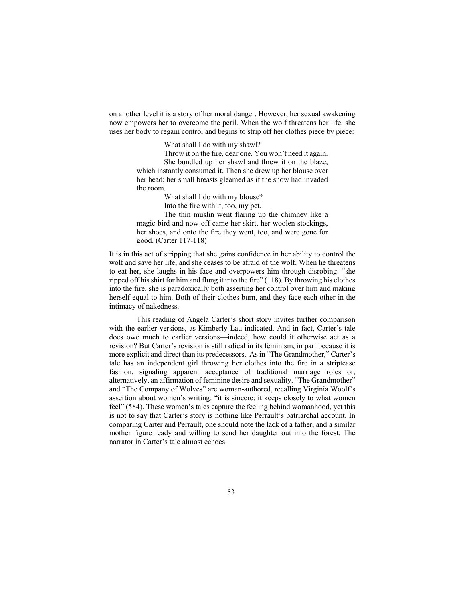on another level it is a story of her moral danger. However, her sexual awakening now empowers her to overcome the peril. When the wolf threatens her life, she uses her body to regain control and begins to strip off her clothes piece by piece:

What shall I do with my shawl?

Throw it on the fire, dear one. You won't need it again. She bundled up her shawl and threw it on the blaze, which instantly consumed it. Then she drew up her blouse over her head; her small breasts gleamed as if the snow had invaded the room.

What shall I do with my blouse?

Into the fire with it, too, my pet.

The thin muslin went flaring up the chimney like a magic bird and now off came her skirt, her woolen stockings, her shoes, and onto the fire they went, too, and were gone for good. (Carter 117-118)

It is in this act of stripping that she gains confidence in her ability to control the wolf and save her life, and she ceases to be afraid of the wolf. When he threatens to eat her, she laughs in his face and overpowers him through disrobing: "she ripped off his shirt for him and flung it into the fire" (118). By throwing his clothes into the fire, she is paradoxically both asserting her control over him and making herself equal to him. Both of their clothes burn, and they face each other in the intimacy of nakedness.

This reading of Angela Carter's short story invites further comparison with the earlier versions, as Kimberly Lau indicated. And in fact, Carter's tale does owe much to earlier versions—indeed, how could it otherwise act as a revision? But Carter's revision is still radical in its feminism, in part because it is more explicit and direct than its predecessors. As in "The Grandmother," Carter's tale has an independent girl throwing her clothes into the fire in a striptease fashion, signaling apparent acceptance of traditional marriage roles or, alternatively, an affirmation of feminine desire and sexuality. "The Grandmother" and "The Company of Wolves" are woman-authored, recalling Virginia Woolf's assertion about women's writing: "it is sincere; it keeps closely to what women feel" (584). These women's tales capture the feeling behind womanhood, yet this is not to say that Carter's story is nothing like Perrault's patriarchal account. In comparing Carter and Perrault, one should note the lack of a father, and a similar mother figure ready and willing to send her daughter out into the forest. The narrator in Carter's tale almost echoes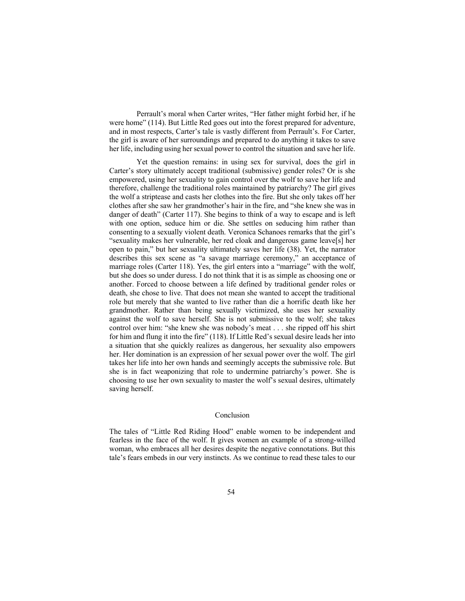Perrault's moral when Carter writes, "Her father might forbid her, if he were home" (114). But Little Red goes out into the forest prepared for adventure, and in most respects, Carter's tale is vastly different from Perrault's. For Carter, the girl is aware of her surroundings and prepared to do anything it takes to save her life, including using her sexual power to control the situation and save her life.

Yet the question remains: in using sex for survival, does the girl in Carter's story ultimately accept traditional (submissive) gender roles? Or is she empowered, using her sexuality to gain control over the wolf to save her life and therefore, challenge the traditional roles maintained by patriarchy? The girl gives the wolf a striptease and casts her clothes into the fire. But she only takes off her clothes after she saw her grandmother's hair in the fire, and "she knew she was in danger of death" (Carter 117). She begins to think of a way to escape and is left with one option, seduce him or die. She settles on seducing him rather than consenting to a sexually violent death. Veronica Schanoes remarks that the girl's "sexuality makes her vulnerable, her red cloak and dangerous game leave[s] her open to pain," but her sexuality ultimately saves her life (38). Yet, the narrator describes this sex scene as "a savage marriage ceremony," an acceptance of marriage roles (Carter 118). Yes, the girl enters into a "marriage" with the wolf, but she does so under duress. I do not think that it is as simple as choosing one or another. Forced to choose between a life defined by traditional gender roles or death, she chose to live. That does not mean she wanted to accept the traditional role but merely that she wanted to live rather than die a horrific death like her grandmother. Rather than being sexually victimized, she uses her sexuality against the wolf to save herself. She is not submissive to the wolf; she takes control over him: "she knew she was nobody's meat . . . she ripped off his shirt for him and flung it into the fire" (118). If Little Red's sexual desire leads her into a situation that she quickly realizes as dangerous, her sexuality also empowers her. Her domination is an expression of her sexual power over the wolf. The girl takes her life into her own hands and seemingly accepts the submissive role. But she is in fact weaponizing that role to undermine patriarchy's power. She is choosing to use her own sexuality to master the wolf's sexual desires, ultimately saving herself.

#### Conclusion

The tales of "Little Red Riding Hood" enable women to be independent and fearless in the face of the wolf. It gives women an example of a strong-willed woman, who embraces all her desires despite the negative connotations. But this tale's fears embeds in our very instincts. As we continue to read these tales to our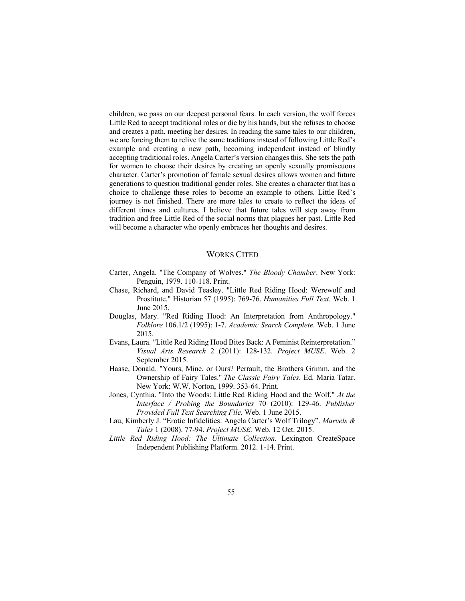children, we pass on our deepest personal fears. In each version, the wolf forces Little Red to accept traditional roles or die by his hands, but she refuses to choose and creates a path, meeting her desires. In reading the same tales to our children, we are forcing them to relive the same traditions instead of following Little Red's example and creating a new path, becoming independent instead of blindly accepting traditional roles. Angela Carter's version changes this. She sets the path for women to choose their desires by creating an openly sexually promiscuous character. Carter's promotion of female sexual desires allows women and future generations to question traditional gender roles. She creates a character that has a choice to challenge these roles to become an example to others. Little Red's journey is not finished. There are more tales to create to reflect the ideas of different times and cultures. I believe that future tales will step away from tradition and free Little Red of the social norms that plagues her past. Little Red will become a character who openly embraces her thoughts and desires.

### WORKS CITED

- Carter, Angela. "The Company of Wolves." *The Bloody Chamber*. New York: Penguin, 1979. 110-118. Print.
- Chase, Richard, and David Teasley. "Little Red Riding Hood: Werewolf and Prostitute." Historian 57 (1995): 769-76. *Humanities Full Text*. Web. 1 June 2015.
- Douglas, Mary. "Red Riding Hood: An Interpretation from Anthropology." *Folklore* 106.1/2 (1995): 1-7. *Academic Search Complete*. Web. 1 June 2015.
- Evans, Laura. "Little Red Riding Hood Bites Back: A Feminist Reinterpretation." *Visual Arts Research* 2 (2011): 128-132. *Project MUSE*. Web. 2 September 2015.
- Haase, Donald. "Yours, Mine, or Ours? Perrault, the Brothers Grimm, and the Ownership of Fairy Tales." *The Classic Fairy Tales*. Ed. Maria Tatar. New York: W.W. Norton, 1999. 353-64. Print.
- Jones, Cynthia. "Into the Woods: Little Red Riding Hood and the Wolf." *At the Interface / Probing the Boundaries* 70 (2010): 129-46. *Publisher Provided Full Text Searching File*. Web. 1 June 2015.
- Lau, Kimberly J. "Erotic Infidelities: Angela Carter's Wolf Trilogy". *Marvels & Tales* 1 (2008). 77-94. *Project MUSE.* Web. 12 Oct. 2015.
- *Little Red Riding Hood: The Ultimate Collection*. Lexington CreateSpace Independent Publishing Platform. 2012. 1-14. Print.